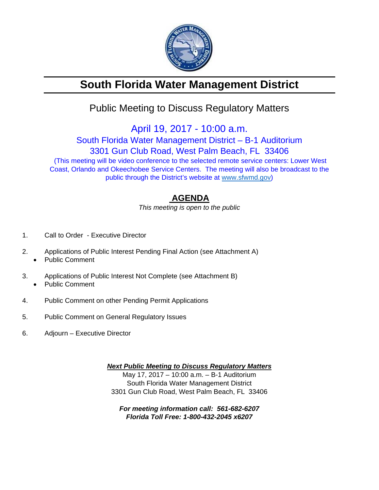

# **South Florida Water Management District**

## Public Meeting to Discuss Regulatory Matters

April 19, 2017 - 10:00 a.m.

### South Florida Water Management District – B-1 Auditorium 3301 Gun Club Road, West Palm Beach, FL 33406 (This meeting will be video conference to the selected remote service centers: Lower West Coast, Orlando and Okeechobee Service Centers. The meeting will also be broadcast to the public through the District's website at www.sfwmd.gov)

### **AGENDA**

*This meeting is open to the public* 

- 1. Call to Order Executive Director
- 2. Applications of Public Interest Pending Final Action (see Attachment A)
	- Public Comment
- 3. Applications of Public Interest Not Complete (see Attachment B) Public Comment
- 4. Public Comment on other Pending Permit Applications
- 5. Public Comment on General Regulatory Issues
- 6. Adjourn Executive Director

*Next Public Meeting to Discuss Regulatory Matters*  May 17, 2017 – 10:00 a.m. – B-1 Auditorium South Florida Water Management District 3301 Gun Club Road, West Palm Beach, FL 33406

*For meeting information call: 561-682-6207 Florida Toll Free: 1-800-432-2045 x6207*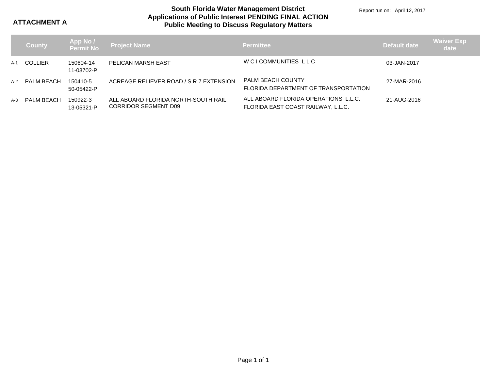**ATTACHMENT A**

#### **Applications of Public Interest PENDING FINAL ACTION Public Meeting to Discuss Regulatory Matters South Florida Water Management District**

Report run on: April 12, 2017

|     | <b>County</b>  | <b>App No /<br/>Permit No</b> | <b>Project Name</b>                                                | <b>Permittee</b>                                                            | Default date | <b>Waiver Exp</b><br>date |
|-----|----------------|-------------------------------|--------------------------------------------------------------------|-----------------------------------------------------------------------------|--------------|---------------------------|
| A-1 | <b>COLLIER</b> | 150604-14<br>11-03702-P       | PELICAN MARSH EAST                                                 | W CI COMMUNITIES LLC                                                        | 03-JAN-2017  |                           |
| A-2 | PALM BEACH     | 150410-5<br>50-05422-P        | ACREAGE RELIEVER ROAD / S R 7 EXTENSION                            | <b>PALM BEACH COUNTY</b><br>FLORIDA DEPARTMENT OF TRANSPORTATION            | 27-MAR-2016  |                           |
| A-3 | PALM BEACH     | 150922-3<br>13-05321-P        | ALL ABOARD FLORIDA NORTH-SOUTH RAIL<br><b>CORRIDOR SEGMENT D09</b> | ALL ABOARD FLORIDA OPERATIONS, L.L.C.<br>FLORIDA EAST COAST RAILWAY, L.L.C. | 21-AUG-2016  |                           |